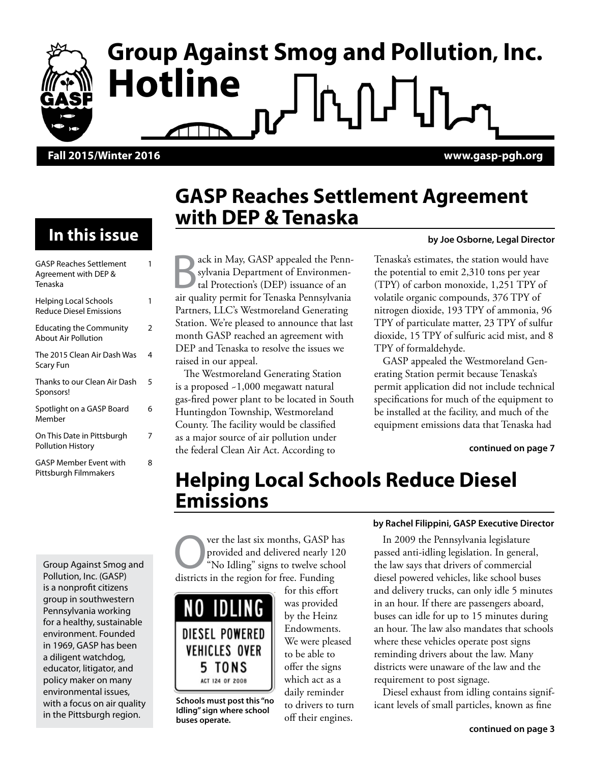# **Group Against Smog and Pollution, Inc. Hotline**

#### **Fall 2015/Winter 2016 www.gasp-pgh.org**

### **In this issue**

| <b>GASP Reaches Settlement</b><br>Agreement with DEP &<br>Tenaska | 1 |
|-------------------------------------------------------------------|---|
| Helping Local Schools<br><b>Reduce Diesel Emissions</b>           | 1 |
| <b>Educating the Community</b><br><b>About Air Pollution</b>      | 2 |
| The 2015 Clean Air Dash Was<br>Scary Fun                          | 4 |
| Thanks to our Clean Air Dash<br>Sponsors!                         | 5 |
| Spotlight on a GASP Board<br>Member                               | 6 |
| On This Date in Pittsburgh<br><b>Pollution History</b>            | 7 |
| GASP Member Event with<br>Pittsburgh Filmmakers                   | 8 |

Group Against Smog and Pollution, Inc. (GASP) is a nonprofit citizens group in southwestern Pennsylvania working for a healthy, sustainable environment. Founded in 1969, GASP has been a diligent watchdog, educator, litigator, and policy maker on many environmental issues, with a focus on air quality in the Pittsburgh region.

### **GASP Reaches Settlement Agreement with DEP & Tenaska**

ack in May, GASP appealed the Pennsylvania Department of Environmental Protection's (DEP) issuance of an air quality permit for Tenaska Pennsylvania Partners, LLC's Westmoreland Generating Station. We're pleased to announce that last month GASP reached an agreement with DEP and Tenaska to resolve the issues we raised in our appeal.

The Westmoreland Generating Station is a proposed ~1,000 megawatt natural gas-fired power plant to be located in South Huntingdon Township, Westmoreland County. The facility would be classified as a major source of air pollution under the federal Clean Air Act. According to

#### **by Joe Osborne, Legal Director**

Tenaska's estimates, the station would have the potential to emit 2,310 tons per year (TPY) of carbon monoxide, 1,251 TPY of volatile organic compounds, 376 TPY of nitrogen dioxide, 193 TPY of ammonia, 96 TPY of particulate matter, 23 TPY of sulfur dioxide, 15 TPY of sulfuric acid mist, and 8 TPY of formaldehyde.

GASP appealed the Westmoreland Generating Station permit because Tenaska's permit application did not include technical specifications for much of the equipment to be installed at the facility, and much of the equipment emissions data that Tenaska had

**continued on page 7**

### **Helping Local Schools Reduce Diesel Emissions**

ver the last six months, GASP has provided and delivered nearly 120 "No Idling" signs to twelve school districts in the region for free. Funding



**Idling" sign where school buses operate.**

for this effort was provided by the Heinz Endowments. We were pleased to be able to offer the signs which act as a daily reminder to drivers to turn off their engines.

#### **by Rachel Filippini, GASP Executive Director**

In 2009 the Pennsylvania legislature passed anti-idling legislation. In general, the law says that drivers of commercial diesel powered vehicles, like school buses and delivery trucks, can only idle 5 minutes in an hour. If there are passengers aboard, buses can idle for up to 15 minutes during an hour. The law also mandates that schools where these vehicles operate post signs reminding drivers about the law. Many districts were unaware of the law and the requirement to post signage.

Diesel exhaust from idling contains signif-**Schools must post this "no**<br>Idling" cinn whome school to drivers to turn icant levels of small particles, known as fine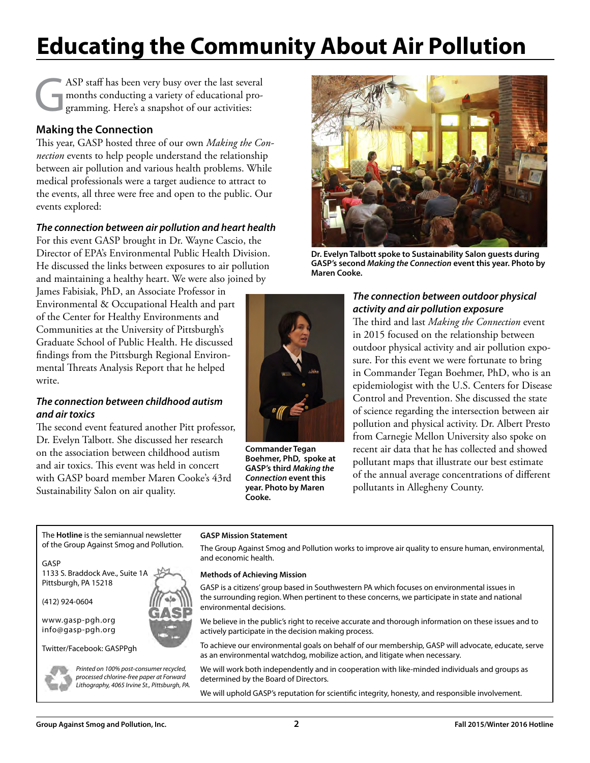# **Educating the Community About Air Pollution**

ASP staff has been very busy over the last several<br>months conducting a variety of educational pro-<br>gramming. Here's a snapshot of our activities: months conducting a variety of educational programming. Here's a snapshot of our activities:

#### **Making the Connection**

This year, GASP hosted three of our own *Making the Connection* events to help people understand the relationship between air pollution and various health problems. While medical professionals were a target audience to attract to the events, all three were free and open to the public. Our events explored:

#### *The connection between air pollution and heart health*

For this event GASP brought in Dr. Wayne Cascio, the Director of EPA's Environmental Public Health Division. He discussed the links between exposures to air pollution and maintaining a healthy heart. We were also joined by

James Fabisiak, PhD, an Associate Professor in Environmental & Occupational Health and part of the Center for Healthy Environments and Communities at the University of Pittsburgh's Graduate School of Public Health. He discussed findings from the Pittsburgh Regional Environmental Threats Analysis Report that he helped write.

#### *The connection between childhood autism and air toxics*

The second event featured another Pitt professor, Dr. Evelyn Talbott. She discussed her research on the association between childhood autism and air toxics. This event was held in concert with GASP board member Maren Cooke's 43rd Sustainability Salon on air quality.



**Commander Tegan Boehmer, PhD, spoke at GASP's third** *Making the Connection* **event this year. Photo by Maren Cooke.**



**Dr. Evelyn Talbott spoke to Sustainability Salon guests during GASP's second** *Making the Connection* **event this year. Photo by Maren Cooke.**

#### *The connection between outdoor physical activity and air pollution exposure*

The third and last *Making the Connection* event in 2015 focused on the relationship between outdoor physical activity and air pollution exposure. For this event we were fortunate to bring in Commander Tegan Boehmer, PhD, who is an epidemiologist with the U.S. Centers for Disease Control and Prevention. She discussed the state of science regarding the intersection between air pollution and physical activity. Dr. Albert Presto from Carnegie Mellon University also spoke on recent air data that he has collected and showed pollutant maps that illustrate our best estimate of the annual average concentrations of different pollutants in Allegheny County.

The **Hotline** is the semiannual newsletter of the Group Against Smog and Pollution.

#### GASP

1133 S. Braddock Ave., Suite 1A Pittsburgh, PA 15218

(412) 924-0604

www.gasp-pgh.org info@gasp-pgh.org

Twitter/Facebook: GASPPgh



*Printed on 100% post-consumer recycled, processed chlorine-free paper at Forward Lithography, 4065 Irvine St., Pittsburgh, PA.*

#### **GASP Mission Statement**

The Group Against Smog and Pollution works to improve air quality to ensure human, environmental, and economic health.

#### **Methods of Achieving Mission**

GASP is a citizens' group based in Southwestern PA which focuses on environmental issues in the surrounding region. When pertinent to these concerns, we participate in state and national environmental decisions.

We believe in the public's right to receive accurate and thorough information on these issues and to actively participate in the decision making process.

To achieve our environmental goals on behalf of our membership, GASP will advocate, educate, serve as an environmental watchdog, mobilize action, and litigate when necessary.

We will work both independently and in cooperation with like-minded individuals and groups as determined by the Board of Directors.

We will uphold GASP's reputation for scientific integrity, honesty, and responsible involvement.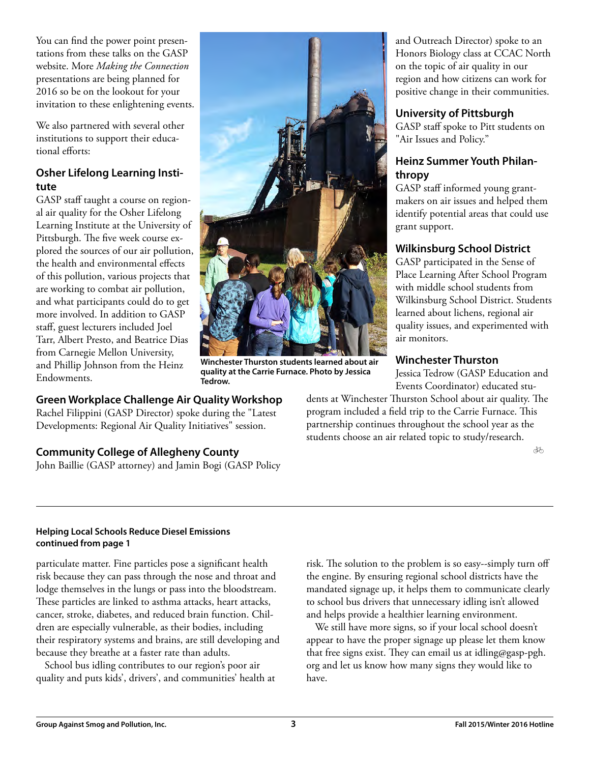You can find the power point presentations from these talks on the GASP website. More *Making the Connection* presentations are being planned for 2016 so be on the lookout for your invitation to these enlightening events.

We also partnered with several other institutions to support their educational efforts:

#### **Osher Lifelong Learning Institute**

GASP staff taught a course on regional air quality for the Osher Lifelong Learning Institute at the University of Pittsburgh. The five week course explored the sources of our air pollution, the health and environmental effects of this pollution, various projects that are working to combat air pollution, and what participants could do to get more involved. In addition to GASP staff, guest lecturers included Joel Tarr, Albert Presto, and Beatrice Dias from Carnegie Mellon University, and Phillip Johnson from the Heinz Endowments.

### **Green Workplace Challenge Air Quality Workshop**

Rachel Filippini (GASP Director) spoke during the "Latest Developments: Regional Air Quality Initiatives" session.

### **Community College of Allegheny County**

John Baillie (GASP attorney) and Jamin Bogi (GASP Policy



**Winchester Thurston students learned about air quality at the Carrie Furnace. Photo by Jessica Tedrow.**

and Outreach Director) spoke to an Honors Biology class at CCAC North on the topic of air quality in our region and how citizens can work for positive change in their communities.

### **University of Pittsburgh**

GASP staff spoke to Pitt students on "Air Issues and Policy."

#### **Heinz Summer Youth Philanthropy**

GASP staff informed young grantmakers on air issues and helped them identify potential areas that could use grant support.

### **Wilkinsburg School District**

GASP participated in the Sense of Place Learning After School Program with middle school students from Wilkinsburg School District. Students learned about lichens, regional air quality issues, and experimented with air monitors.

### **Winchester Thurston**

Jessica Tedrow (GASP Education and Events Coordinator) educated stu-

dents at Winchester Thurston School about air quality. The program included a field trip to the Carrie Furnace. This partnership continues throughout the school year as the students choose an air related topic to study/research.

 $\overline{\mathcal{A}}$ 

#### **Helping Local Schools Reduce Diesel Emissions continued from page 1**

particulate matter. Fine particles pose a significant health risk because they can pass through the nose and throat and lodge themselves in the lungs or pass into the bloodstream. These particles are linked to asthma attacks, heart attacks, cancer, stroke, diabetes, and reduced brain function. Children are especially vulnerable, as their bodies, including their respiratory systems and brains, are still developing and because they breathe at a faster rate than adults.

School bus idling contributes to our region's poor air quality and puts kids', drivers', and communities' health at

risk. The solution to the problem is so easy--simply turn off the engine. By ensuring regional school districts have the mandated signage up, it helps them to communicate clearly to school bus drivers that unnecessary idling isn't allowed and helps provide a healthier learning environment.

We still have more signs, so if your local school doesn't appear to have the proper signage up please let them know that free signs exist. They can email us at idling@gasp-pgh. org and let us know how many signs they would like to have.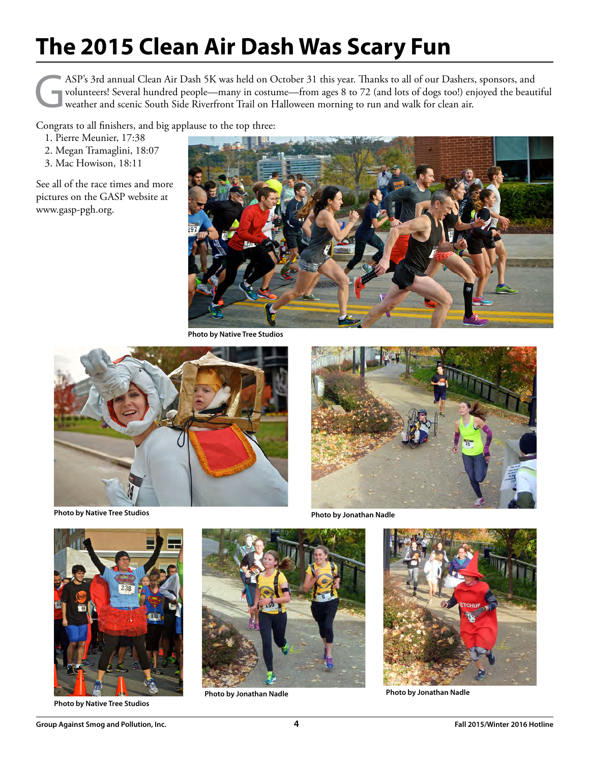## **The 2015 Clean Air Dash Was Scary Fun**

ASP's 3rd annual Clean Air Dash 5K was held on October 31 this year. Thanks to all of our Dashers, sponsors, and volunteers! Several hundred people—many in costume—from ages 8 to 72 (and lots of dogs too!) enjoyed the beautiful weather and scenic South Side Riverfront Trail on Halloween morning to run and walk for clean air.

Congrats to all finishers, and big applause to the top three:

- 1. Pierre Meunier, 17:38
- 2. Megan Tramaglini, 18:07
- 3. Mac Howison, 18:11

See all of the race times and more pictures on the GASP website at www.gasp-pgh.org.



**Photo by Native Tree Studios**



**Photo by Native Tree Studios**



**Photo by Jonathan Nadle**



**Photo by Native Tree Studios**



**Photo by Jonathan Nadle**



**Photo by Jonathan Nadle**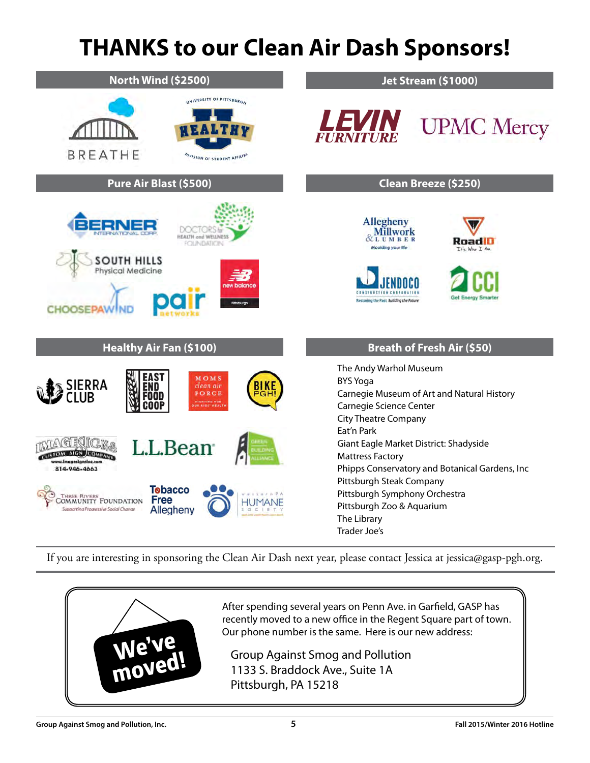### **THANKS to our Clean Air Dash Sponsors!**

| <b>North Wind (\$2500)</b>                                                                                                                                                                                                     | Jet Stream (\$1000)                                                                                                                                                                                                                                        |
|--------------------------------------------------------------------------------------------------------------------------------------------------------------------------------------------------------------------------------|------------------------------------------------------------------------------------------------------------------------------------------------------------------------------------------------------------------------------------------------------------|
| UNIVERSITY OF PITTSBURGH<br><b>BREATHE</b><br>OIVISION OF STUDENT AFFAIRS                                                                                                                                                      | <i><b>LEVIN</b></i><br><b>UPMC</b> Mercy                                                                                                                                                                                                                   |
| Pure Air Blast (\$500)                                                                                                                                                                                                         | Clean Breeze (\$250)                                                                                                                                                                                                                                       |
| HEALTH and WELLNESS<br><b>FOLINDATION</b><br><b>SOUTH HILLS</b><br>Physical Medicine<br><b>new balance</b><br>Pimburgh<br><b>CHOOSEPAW</b>                                                                                     | Allegheny<br>Millwork<br>RoadID<br><b>Moulding your life</b><br>Tfc Who I Am<br><b>CONSTRUCTION</b><br><b>Get Energy Smarter</b><br>Restoring the Past Building the Future                                                                                 |
| <b>Healthy Air Fan (\$100)</b>                                                                                                                                                                                                 | <b>Breath of Fresh Air (\$50)</b>                                                                                                                                                                                                                          |
| AS 1<br>MOMS<br>ERRA<br>clean air<br>'Ω<br>FORCE<br>:00D<br><b>FIGHTING FOR</b>                                                                                                                                                | The Andy Warhol Museum<br><b>BYS Yoga</b><br>Carnegie Museum of Art and Natural History<br>Carnegie Science Center<br><b>City Theatre Company</b>                                                                                                          |
| L.L.Bean<br><b>SIGN JCOME</b><br>assesianslns.com<br>814-946-4663<br><b>Tebacco</b><br><b>THREE RIVERS</b><br><b>Free</b><br><b>COMMUNITY FOUNDATION</b><br>HUMANE<br>Supporting Progressive Social Change<br>Allegheny<br>0<1 | Eat'n Park<br>Giant Eagle Market District: Shadyside<br><b>Mattress Factory</b><br>Phipps Conservatory and Botanical Gardens, Inc<br>Pittsburgh Steak Company<br>Pittsburgh Symphony Orchestra<br>Pittsburgh Zoo & Aquarium<br>The Library<br>Trader Joe's |

If you are interesting in sponsoring the Clean Air Dash next year, please contact Jessica at jessica@gasp-pgh.org.



After spending several years on Penn Ave. in Garfield, GASP has recently moved to a new office in the Regent Square part of town. Our phone number is the same. Here is our new address:

Group Against Smog and Pollution 1133 S. Braddock Ave., Suite 1A Pittsburgh, PA 15218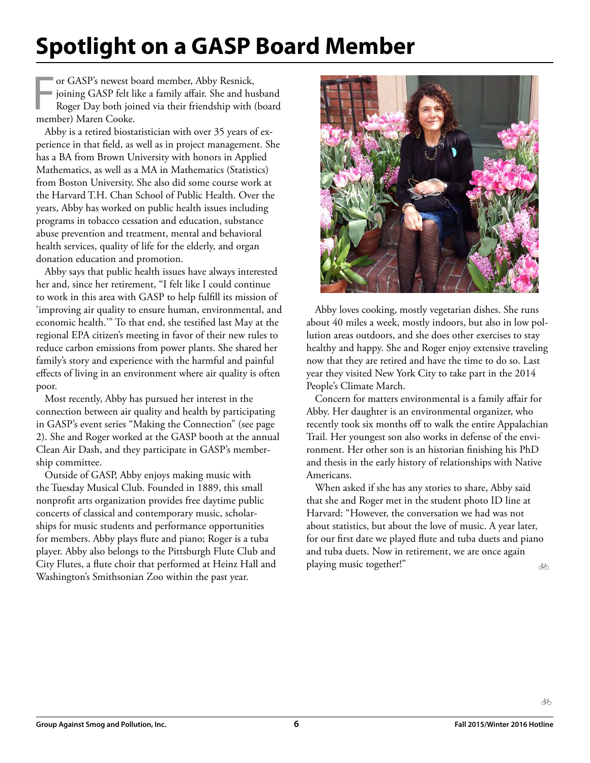### **Spotlight on a GASP Board Member**

For GASP's newest be<br>
joining GASP felt li<br>
Roger Day both join<br>
member) Maren Cooke. or GASP's newest board member, Abby Resnick, joining GASP felt like a family affair. She and husband Roger Day both joined via their friendship with (board

Abby is a retired biostatistician with over 35 years of experience in that field, as well as in project management. She has a BA from Brown University with honors in Applied Mathematics, as well as a MA in Mathematics (Statistics) from Boston University. She also did some course work at the Harvard T.H. Chan School of Public Health. Over the years, Abby has worked on public health issues including programs in tobacco cessation and education, substance abuse prevention and treatment, mental and behavioral health services, quality of life for the elderly, and organ donation education and promotion.

Abby says that public health issues have always interested her and, since her retirement, "I felt like I could continue to work in this area with GASP to help fulfill its mission of 'improving air quality to ensure human, environmental, and economic health.'" To that end, she testified last May at the regional EPA citizen's meeting in favor of their new rules to reduce carbon emissions from power plants. She shared her family's story and experience with the harmful and painful effects of living in an environment where air quality is often poor.

Most recently, Abby has pursued her interest in the connection between air quality and health by participating in GASP's event series "Making the Connection" (see page 2). She and Roger worked at the GASP booth at the annual Clean Air Dash, and they participate in GASP's membership committee.

Outside of GASP, Abby enjoys making music with the Tuesday Musical Club. Founded in 1889, this small nonprofit arts organization provides free daytime public concerts of classical and contemporary music, scholarships for music students and performance opportunities for members. Abby plays flute and piano; Roger is a tuba player. Abby also belongs to the Pittsburgh Flute Club and City Flutes, a flute choir that performed at Heinz Hall and Washington's Smithsonian Zoo within the past year.



Abby loves cooking, mostly vegetarian dishes. She runs about 40 miles a week, mostly indoors, but also in low pollution areas outdoors, and she does other exercises to stay healthy and happy. She and Roger enjoy extensive traveling now that they are retired and have the time to do so. Last year they visited New York City to take part in the 2014 People's Climate March.

Concern for matters environmental is a family affair for Abby. Her daughter is an environmental organizer, who recently took six months off to walk the entire Appalachian Trail. Her youngest son also works in defense of the environment. Her other son is an historian finishing his PhD and thesis in the early history of relationships with Native Americans.

When asked if she has any stories to share, Abby said that she and Roger met in the student photo ID line at Harvard: "However, the conversation we had was not about statistics, but about the love of music. A year later, for our first date we played flute and tuba duets and piano and tuba duets. Now in retirement, we are once again playing music together!" ðó

ക്ക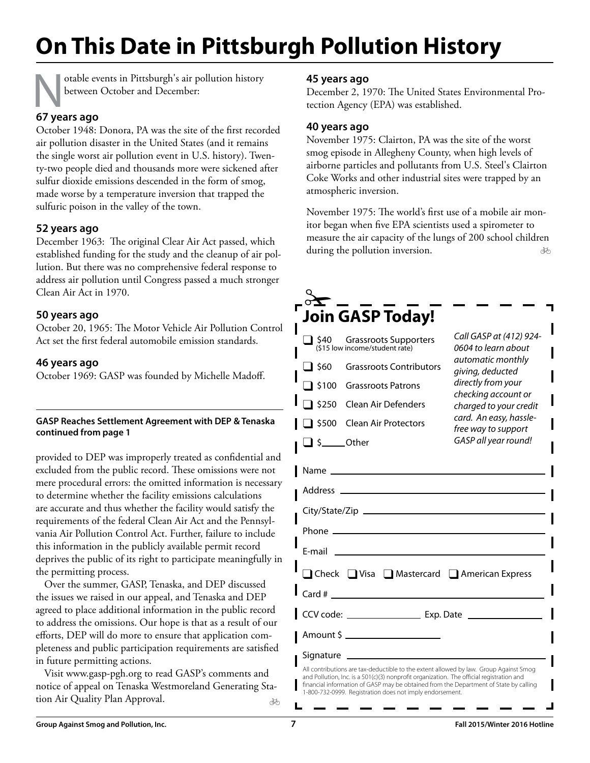## **On This Date in Pittsburgh Pollution History**

otable events in Pittsburgh's air pollution history between October and December:

#### **67 years ago**

October 1948: Donora, PA was the site of the first recorded air pollution disaster in the United States (and it remains the single worst air pollution event in U.S. history). Twenty-two people died and thousands more were sickened after sulfur dioxide emissions descended in the form of smog, made worse by a temperature inversion that trapped the sulfuric poison in the valley of the town.

#### **52 years ago**

December 1963: The original Clear Air Act passed, which established funding for the study and the cleanup of air pollution. But there was no comprehensive federal response to address air pollution until Congress passed a much stronger Clean Air Act in 1970.

#### **50 years ago**

October 20, 1965: The Motor Vehicle Air Pollution Control Act set the first federal automobile emission standards.

#### **46 years ago**

October 1969: GASP was founded by Michelle Madoff.

#### **GASP Reaches Settlement Agreement with DEP & Tenaska continued from page 1**

provided to DEP was improperly treated as confidential and excluded from the public record. These omissions were not mere procedural errors: the omitted information is necessary to determine whether the facility emissions calculations are accurate and thus whether the facility would satisfy the requirements of the federal Clean Air Act and the Pennsylvania Air Pollution Control Act. Further, failure to include this information in the publicly available permit record deprives the public of its right to participate meaningfully in the permitting process.

Over the summer, GASP, Tenaska, and DEP discussed the issues we raised in our appeal, and Tenaska and DEP agreed to place additional information in the public record to address the omissions. Our hope is that as a result of our efforts, DEP will do more to ensure that application completeness and public participation requirements are satisfied in future permitting actions.

Visit www.gasp-pgh.org to read GASP's comments and notice of appeal on Tenaska Westmoreland Generating Station Air Quality Plan Approval. ðĀ

#### **45 years ago**

December 2, 1970: The United States Environmental Protection Agency (EPA) was established.

#### **40 years ago**

November 1975: Clairton, PA was the site of the worst smog episode in Allegheny County, when high levels of airborne particles and pollutants from U.S. Steel's Clairton Coke Works and other industrial sites were trapped by an atmospheric inversion.

ðÓ November 1975: The world's first use of a mobile air monitor began when five EPA scientists used a spirometer to measure the air capacity of the lungs of 200 school children during the pollution inversion.

|                      | <b>Join GASP Today!</b>                                                                                                                                                                                                        |                                                |
|----------------------|--------------------------------------------------------------------------------------------------------------------------------------------------------------------------------------------------------------------------------|------------------------------------------------|
|                      | $\Box$ \$40 Grassroots Supporters<br>(\$15 low income/student rate)                                                                                                                                                            | Call GASP at (412) 924-<br>0604 to learn about |
| $\Box$ \$60          | <b>Grassroots Contributors</b>                                                                                                                                                                                                 | automatic monthly<br>giving, deducted          |
|                      | S100 Grassroots Patrons                                                                                                                                                                                                        | directly from your<br>checking account or      |
| \$250                | Clean Air Defenders                                                                                                                                                                                                            | charged to your credit                         |
| $\overline{1}$ \$500 | <b>Clean Air Protectors</b>                                                                                                                                                                                                    | card. An easy, hassle-<br>free way to support  |
| $\Box$ \$_____Other  |                                                                                                                                                                                                                                | GASP all year round!                           |
|                      | Name and the contract of the contract of the contract of the contract of the contract of the contract of the contract of the contract of the contract of the contract of the contract of the contract of the contract of the c |                                                |
|                      |                                                                                                                                                                                                                                |                                                |
|                      |                                                                                                                                                                                                                                |                                                |
|                      | E-mail and the contract of the contract of the contract of the contract of the contract of the contract of the                                                                                                                 |                                                |
|                      | □ Check □ Visa □ Mastercard □ American Express                                                                                                                                                                                 |                                                |
|                      | $Card # \_$                                                                                                                                                                                                                    |                                                |
|                      |                                                                                                                                                                                                                                |                                                |
|                      | Amount \$ _______________________                                                                                                                                                                                              |                                                |
|                      | Signature ____________________                                                                                                                                                                                                 |                                                |

All contributions are tax-deductible to the extent allowed by law. Group Against Smog and Pollution, Inc. is a 501(c)(3) nonprofit organization. The official registration and financial information of GASP may be obtained from the Department of State by calling -800-732-0999. Registration does not imply endorsement.